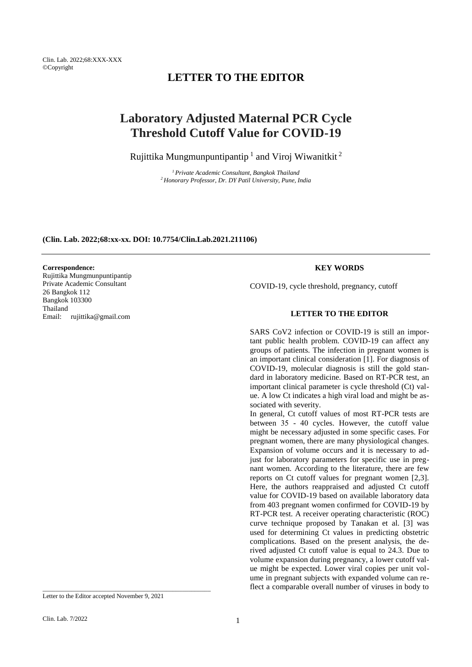Clin. Lab. 2022;68:XXX-XXX ©Copyright

# **LETTER TO THE EDITOR**

# **Laboratory Adjusted Maternal PCR Cycle Threshold Cutoff Value for COVID-19**

Rujittika Mungmunpuntipantip  $^1$  and Viroj Wiwanitkit  $^2$ 

*<sup>1</sup>Private Academic Consultant, Bangkok Thailand <sup>2</sup>Honorary Professor, Dr. DY Patil University, Pune, India*

#### **(Clin. Lab. 2022;68:xx-xx. DOI: 10.7754/Clin.Lab.2021.211106)**

#### **Correspondence:**

Rujittika Mungmunpuntipantip Private Academic Consultant 26 Bangkok 112 Bangkok 103300 Thailand Email: rujittika@gmail.com

# **KEY WORDS**

COVID-19, cycle threshold, pregnancy, cutoff

## **LETTER TO THE EDITOR**

SARS CoV2 infection or COVID-19 is still an important public health problem. COVID-19 can affect any groups of patients. The infection in pregnant women is an important clinical consideration [1]. For diagnosis of COVID-19, molecular diagnosis is still the gold standard in laboratory medicine. Based on RT-PCR test, an important clinical parameter is cycle threshold (Ct) value. A low Ct indicates a high viral load and might be associated with severity.

In general, Ct cutoff values of most RT-PCR tests are between 35 - 40 cycles. However, the cutoff value might be necessary adjusted in some specific cases. For pregnant women, there are many physiological changes. Expansion of volume occurs and it is necessary to adjust for laboratory parameters for specific use in pregnant women. According to the literature, there are few reports on Ct cutoff values for pregnant women [2,3]. Here, the authors reappraised and adjusted Ct cutoff value for COVID-19 based on available laboratory data from 403 pregnant women confirmed for COVID-19 by RT-PCR test. A receiver operating characteristic (ROC) curve technique proposed by Tanakan et al. [3] was used for determining Ct values in predicting obstetric complications. Based on the present analysis, the derived adjusted Ct cutoff value is equal to 24.3. Due to volume expansion during pregnancy, a lower cutoff value might be expected. Lower viral copies per unit volume in pregnant subjects with expanded volume can reflect a comparable overall number of viruses in body to

\_\_\_\_\_\_\_\_\_\_\_\_\_\_\_\_\_\_\_\_\_\_\_\_\_\_\_\_\_\_\_\_\_\_\_\_\_\_\_\_\_\_\_\_\_\_\_\_\_\_\_\_\_

Letter to the Editor accepted November 9, 2021